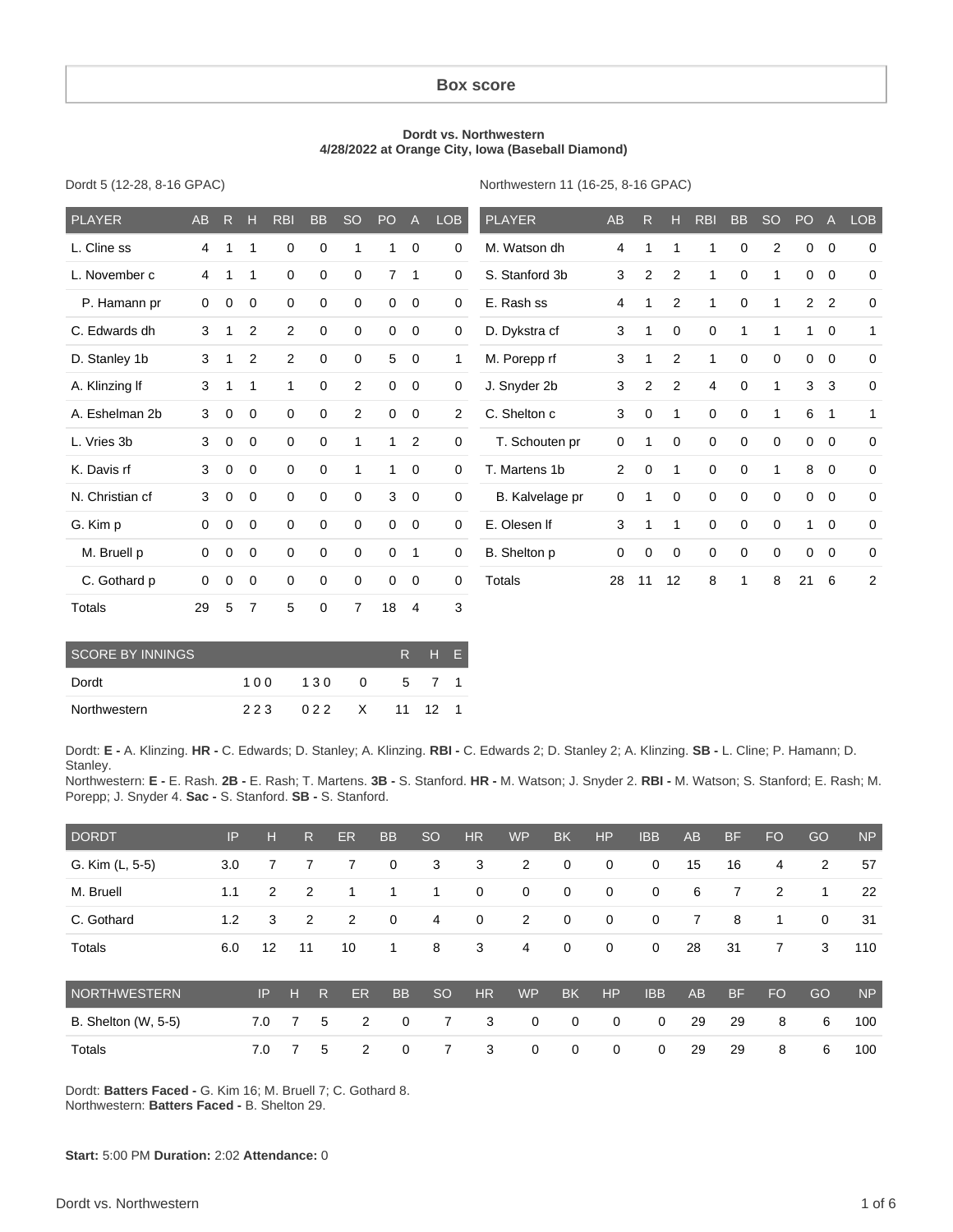#### **Box score**

#### **Dordt vs. Northwestern 4/28/2022 at Orange City, Iowa (Baseball Diamond)**

Dordt 5 (12-28, 8-16 GPAC)

Northwestern 11 (16-25, 8-16 GPAC)

| <b>PLAYER</b>   | <b>AB</b> | R           | н              | <b>RBI</b>     | <b>BB</b>   | <b>SO</b>   | PO             | $\overline{A}$ | LOB         | <b>PLAYER</b>   | AB             | R              | н           | <b>RBI</b>  | <b>BB</b>   | <b>SO</b>   | PO             | $\overline{A}$ | <b>LOB</b>     |
|-----------------|-----------|-------------|----------------|----------------|-------------|-------------|----------------|----------------|-------------|-----------------|----------------|----------------|-------------|-------------|-------------|-------------|----------------|----------------|----------------|
| L. Cline ss     | 4         | 1           | 1              | 0              | $\mathbf 0$ | 1           | 1              | $\mathbf 0$    | 0           | M. Watson dh    | 4              | 1              | 1           | 1           | 0           | 2           | $\mathbf 0$    | $\mathbf 0$    | $\mathbf 0$    |
| L. November c   | 4         | 1           | 1              | $\mathbf 0$    | $\mathbf 0$ | $\Omega$    | $\overline{7}$ | $\mathbf{1}$   | 0           | S. Stanford 3b  | 3              | $\overline{2}$ | 2           | 1           | $\mathbf 0$ | 1           | $\mathbf 0$    | $\mathbf 0$    | $\mathbf 0$    |
| P. Hamann pr    | 0         | $\mathbf 0$ | $\mathbf 0$    | $\mathbf 0$    | $\mathbf 0$ | 0           | 0              | $\mathbf 0$    | $\mathbf 0$ | E. Rash ss      | 4              | 1              | 2           | 1           | 0           | 1           | $\overline{2}$ | $\overline{2}$ | $\mathbf 0$    |
| C. Edwards dh   | 3         |             | $\overline{2}$ | $\overline{c}$ | $\mathbf 0$ | $\mathbf 0$ | 0              | $\mathbf 0$    | 0           | D. Dykstra cf   | 3              |                | $\mathbf 0$ | 0           | 1           | 1           | 1              | $\mathbf 0$    | 1              |
| D. Stanley 1b   | 3         |             | $\overline{2}$ | 2              | $\mathbf 0$ | 0           | 5              | $\overline{0}$ | 1           | M. Porepp rf    | 3              | 1              | 2           | 1           | 0           | $\mathbf 0$ | $\mathbf 0$    | $\mathbf 0$    | $\mathbf 0$    |
| A. Klinzing If  | 3         |             | 1              | 1              | $\mathbf 0$ | 2           | $\mathbf 0$    | $\mathbf 0$    | 0           | J. Snyder 2b    | 3              | $\overline{2}$ | 2           | 4           | $\mathbf 0$ | 1           | 3              | 3              | $\Omega$       |
| A. Eshelman 2b  | 3         | $\mathbf 0$ | $\mathbf 0$    | $\mathbf 0$    | $\mathbf 0$ | 2           | $\mathbf 0$    | $\mathbf 0$    | 2           | C. Shelton c    | 3              | $\mathbf 0$    | 1           | $\mathbf 0$ | $\mathbf 0$ | 1           | 6              | $\overline{1}$ | $\mathbf{1}$   |
| L. Vries 3b     | 3         | $\mathbf 0$ | $\mathbf 0$    | $\mathbf 0$    | $\mathbf 0$ | 1           | 1              | $\overline{2}$ | 0           | T. Schouten pr  | 0              | 1              | $\mathbf 0$ | 0           | $\mathbf 0$ | $\mathbf 0$ | $\mathbf 0$    | $\mathbf 0$    | $\mathbf 0$    |
| K. Davis rf     | 3         | $\mathbf 0$ | $\mathbf 0$    | $\mathbf 0$    | $\mathbf 0$ |             | 1              | $\mathbf 0$    | $\mathbf 0$ | T. Martens 1b   | $\overline{2}$ | $\mathbf 0$    | 1           | $\mathbf 0$ | $\mathbf 0$ | 1           | 8              | $\mathbf 0$    | $\mathbf 0$    |
| N. Christian cf | 3         | $\mathbf 0$ | $\mathbf 0$    | $\Omega$       | $\Omega$    | $\Omega$    | 3              | $\mathbf 0$    | 0           | B. Kalvelage pr | 0              | 1              | $\mathbf 0$ | $\mathbf 0$ | $\mathbf 0$ | $\mathbf 0$ | $\mathbf 0$    | $\Omega$       | $\Omega$       |
| G. Kim p        | $\Omega$  | $\mathbf 0$ | $\mathbf 0$    | $\mathbf 0$    | $\mathbf 0$ | 0           | $\mathbf 0$    | $\mathbf 0$    | $\mathbf 0$ | E. Olesen If    | 3              | 1              | 1           | $\mathbf 0$ | $\mathbf 0$ | $\mathbf 0$ | 1              | $\mathbf 0$    | $\mathbf 0$    |
| M. Bruell p     | $\Omega$  | 0           | $\mathbf 0$    | $\Omega$       | $\Omega$    | $\mathbf 0$ | $\mathbf 0$    | $\mathbf{1}$   | 0           | B. Shelton p    | 0              | $\mathbf 0$    | 0           | $\mathbf 0$ | $\mathbf 0$ | $\mathbf 0$ | $\mathbf 0$    | $\Omega$       | $\mathbf 0$    |
| C. Gothard p    | 0         | $\mathbf 0$ | $\mathbf 0$    | $\mathbf 0$    | 0           | 0           | 0              | $\mathbf 0$    | $\mathbf 0$ | <b>Totals</b>   | 28             | 11             | 12          | 8           | 1           | 8           | 21             | 6              | $\overline{2}$ |
| <b>Totals</b>   | 29        | 5           | $\overline{7}$ | 5              | 0           | 7           | 18             | $\overline{4}$ | 3           |                 |                |                |             |             |             |             |                |                |                |

| SCORE BY INNINGS |     |     |          | $R_{\perp}$ | THN   | F. |
|------------------|-----|-----|----------|-------------|-------|----|
| Dordt            | 100 | 130 | $\Omega$ |             | 5 7 1 |    |
| Northwestern     | 223 | 022 |          | X 11 12     |       |    |

Dordt: **E -** A. Klinzing. **HR -** C. Edwards; D. Stanley; A. Klinzing. **RBI -** C. Edwards 2; D. Stanley 2; A. Klinzing. **SB -** L. Cline; P. Hamann; D. Stanley.

Northwestern: **E -** E. Rash. **2B -** E. Rash; T. Martens. **3B -** S. Stanford. **HR -** M. Watson; J. Snyder 2. **RBI -** M. Watson; S. Stanford; E. Rash; M. Porepp; J. Snyder 4. **Sac -** S. Stanford. **SB -** S. Stanford.

| <b>DORDT</b>               | IP  | н   |    | R | <b>ER</b> | <b>BB</b> | <b>SO</b> | <b>HR</b>   | <b>WP</b>      | <b>BK</b>   | <b>HP</b>   | <b>IBB</b>  | <b>AB</b> | <b>BF</b> | <b>FO</b>      | GO          | <b>NP</b> |
|----------------------------|-----|-----|----|---|-----------|-----------|-----------|-------------|----------------|-------------|-------------|-------------|-----------|-----------|----------------|-------------|-----------|
| G. Kim (L, 5-5)            | 3.0 |     |    |   | 7         | 0         | 3         | 3           | $\overline{2}$ | 0           | $\mathbf 0$ | 0           | 15        | 16        | 4              | 2           | 57        |
| M. Bruell                  | 1.1 | 2   |    | 2 |           | 1         | 1         | $\mathbf 0$ | 0              | 0           | $\mathbf 0$ | $\mathbf 0$ | 6         | 7         | $\overline{2}$ | 1           | 22        |
| C. Gothard                 | 1.2 | 3   |    | 2 | 2         | 0         | 4         | 0           | $\overline{2}$ | $\mathbf 0$ | $\mathbf 0$ | 0           | 7         | 8         | 1              | $\mathbf 0$ | 31        |
| Totals                     | 6.0 | 12  | 11 |   | 10        | 1         | 8         | 3           | 4              | 0           | $\mathbf 0$ | 0           | 28        | 31        | 7              | 3           | 110       |
| NORTHWESTERN               |     | IP  | н  | R | <b>ER</b> | <b>BB</b> | <b>SO</b> | <b>HR</b>   | <b>WP</b>      | <b>BK</b>   | HP          | <b>IBB</b>  | <b>AB</b> | <b>BF</b> | FO             | GO          | <b>NP</b> |
| <b>B.</b> Shelton (W, 5-5) |     | 7.0 | 7  | 5 | 2         | 0         | 7         | 3           | $\Omega$       | 0           | 0           | 0           | 29        | 29        | 8              | 6           | 100       |
| Totals                     |     | 7.0 |    | 5 | 2         | 0         | 7         | 3           | 0              | $\mathbf 0$ | 0           | $\mathbf 0$ | 29        | 29        | 8              | 6           | 100       |

Dordt: **Batters Faced -** G. Kim 16; M. Bruell 7; C. Gothard 8. Northwestern: **Batters Faced -** B. Shelton 29.

**Start:** 5:00 PM **Duration:** 2:02 **Attendance:** 0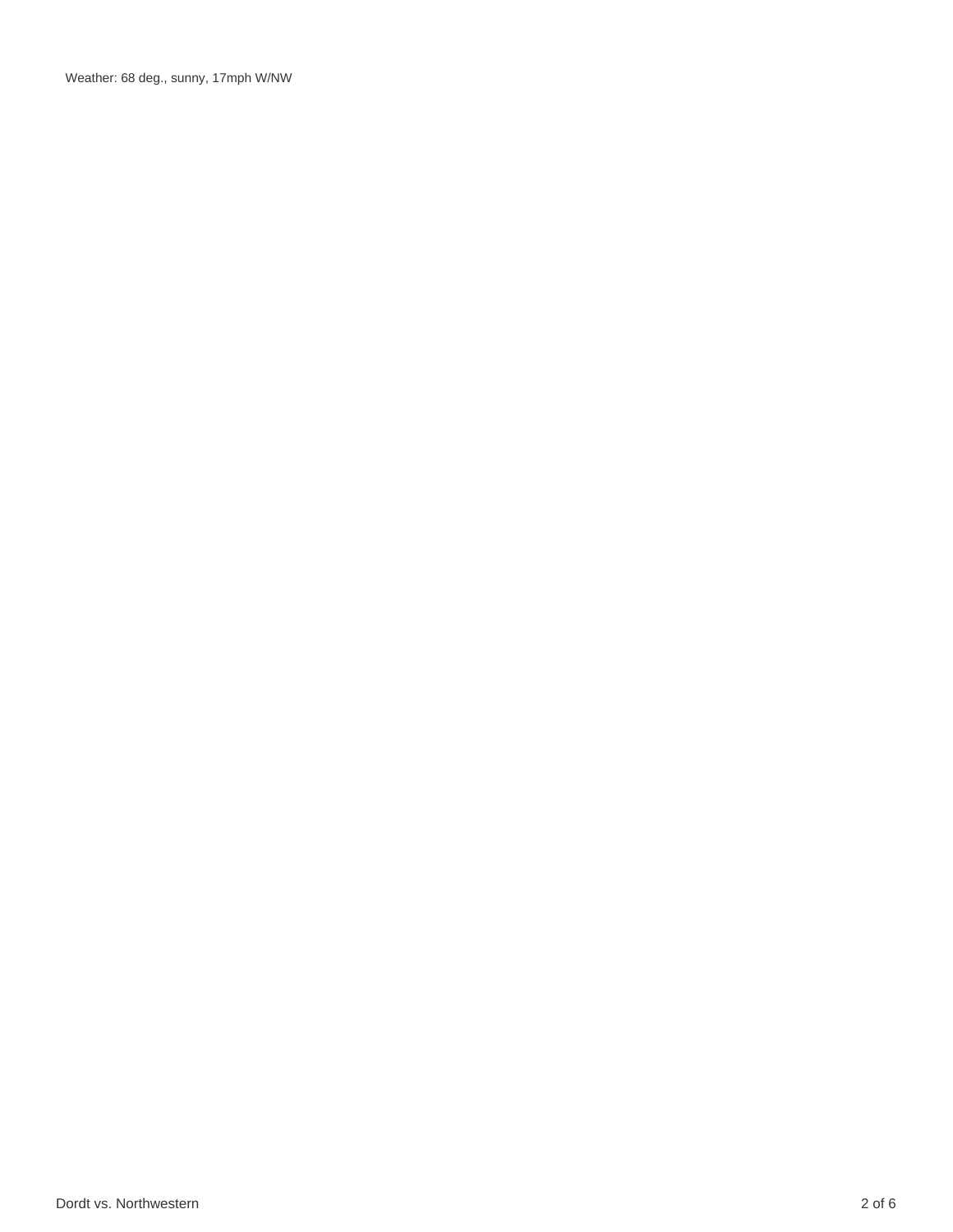Weather: 68 deg., sunny, 17mph W/NW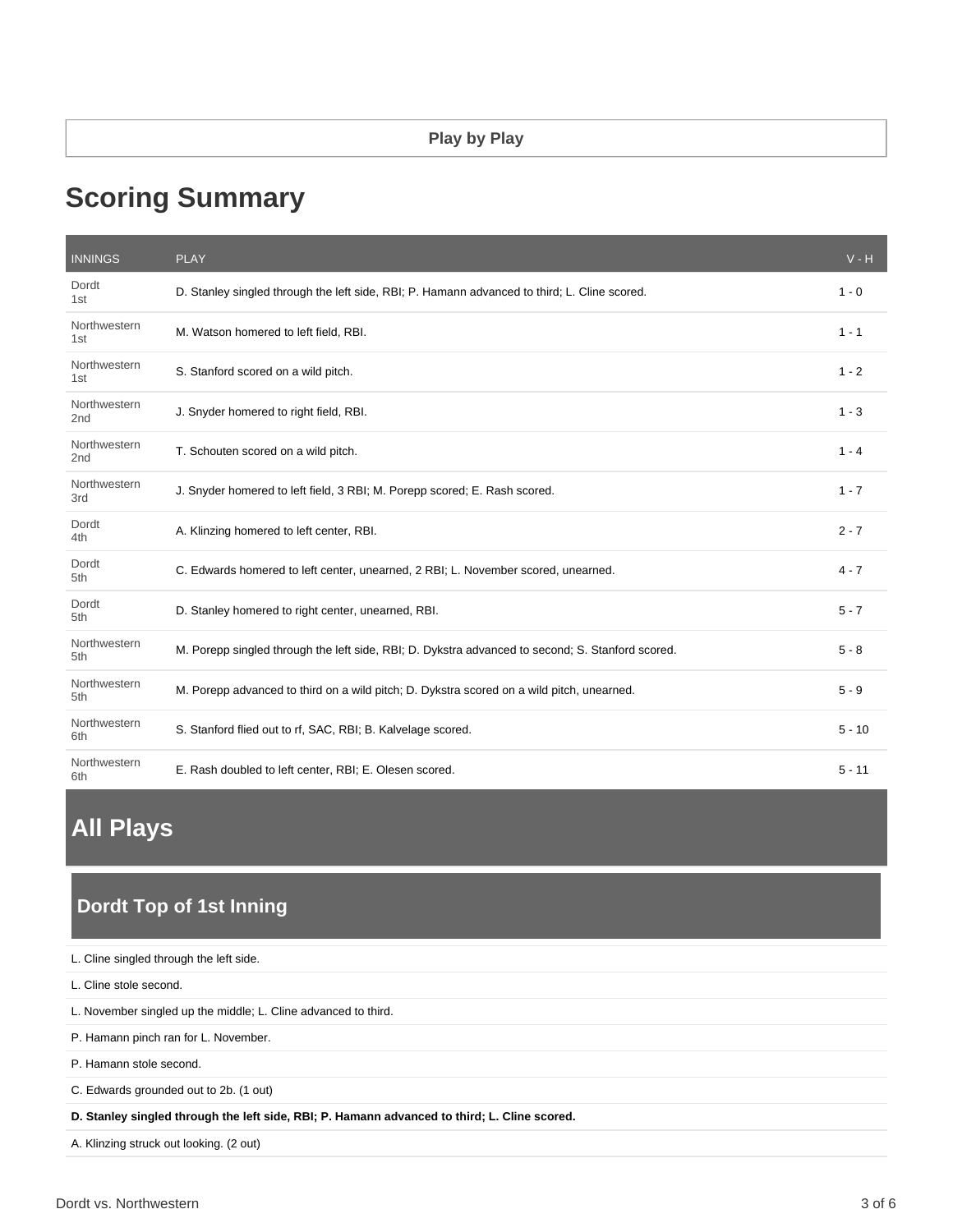# **Scoring Summary**

| <b>INNINGS</b>                  | <b>PLAY</b>                                                                                      | $V - H$  |
|---------------------------------|--------------------------------------------------------------------------------------------------|----------|
| Dordt<br>1st                    | D. Stanley singled through the left side, RBI; P. Hamann advanced to third; L. Cline scored.     | $1 - 0$  |
| Northwestern<br>1st             | M. Watson homered to left field, RBI.                                                            | $1 - 1$  |
| Northwestern<br>1st             | S. Stanford scored on a wild pitch.                                                              | $1 - 2$  |
| Northwestern<br>2 <sub>nd</sub> | J. Snyder homered to right field, RBI.                                                           | $1 - 3$  |
| Northwestern<br>2 <sub>nd</sub> | T. Schouten scored on a wild pitch.                                                              | $1 - 4$  |
| Northwestern<br>3rd             | J. Snyder homered to left field, 3 RBI; M. Porepp scored; E. Rash scored.                        | $1 - 7$  |
| Dordt<br>4th                    | A. Klinzing homered to left center, RBI.                                                         | $2 - 7$  |
| Dordt<br>5th                    | C. Edwards homered to left center, unearned, 2 RBI; L. November scored, unearned.                | $4 - 7$  |
| Dordt<br>5th                    | D. Stanley homered to right center, unearned, RBI.                                               | $5 - 7$  |
| Northwestern<br>5th             | M. Porepp singled through the left side, RBI; D. Dykstra advanced to second; S. Stanford scored. | $5 - 8$  |
| Northwestern<br>5th             | M. Porepp advanced to third on a wild pitch; D. Dykstra scored on a wild pitch, unearned.        | $5 - 9$  |
| Northwestern<br>6th             | S. Stanford flied out to rf, SAC, RBI; B. Kalvelage scored.                                      | $5 - 10$ |
| Northwestern<br>6th             | E. Rash doubled to left center, RBI; E. Olesen scored.                                           | $5 - 11$ |

# **All Plays**

# **Dordt Top of 1st Inning**

| L. Cline singled through the left side.                                                      |
|----------------------------------------------------------------------------------------------|
| L. Cline stole second.                                                                       |
| L. November singled up the middle; L. Cline advanced to third.                               |
| P. Hamann pinch ran for L. November.                                                         |
| P. Hamann stole second.                                                                      |
| C. Edwards grounded out to 2b. (1 out)                                                       |
| D. Stanley singled through the left side, RBI; P. Hamann advanced to third; L. Cline scored. |
| A. Klinzing struck out looking. (2 out)                                                      |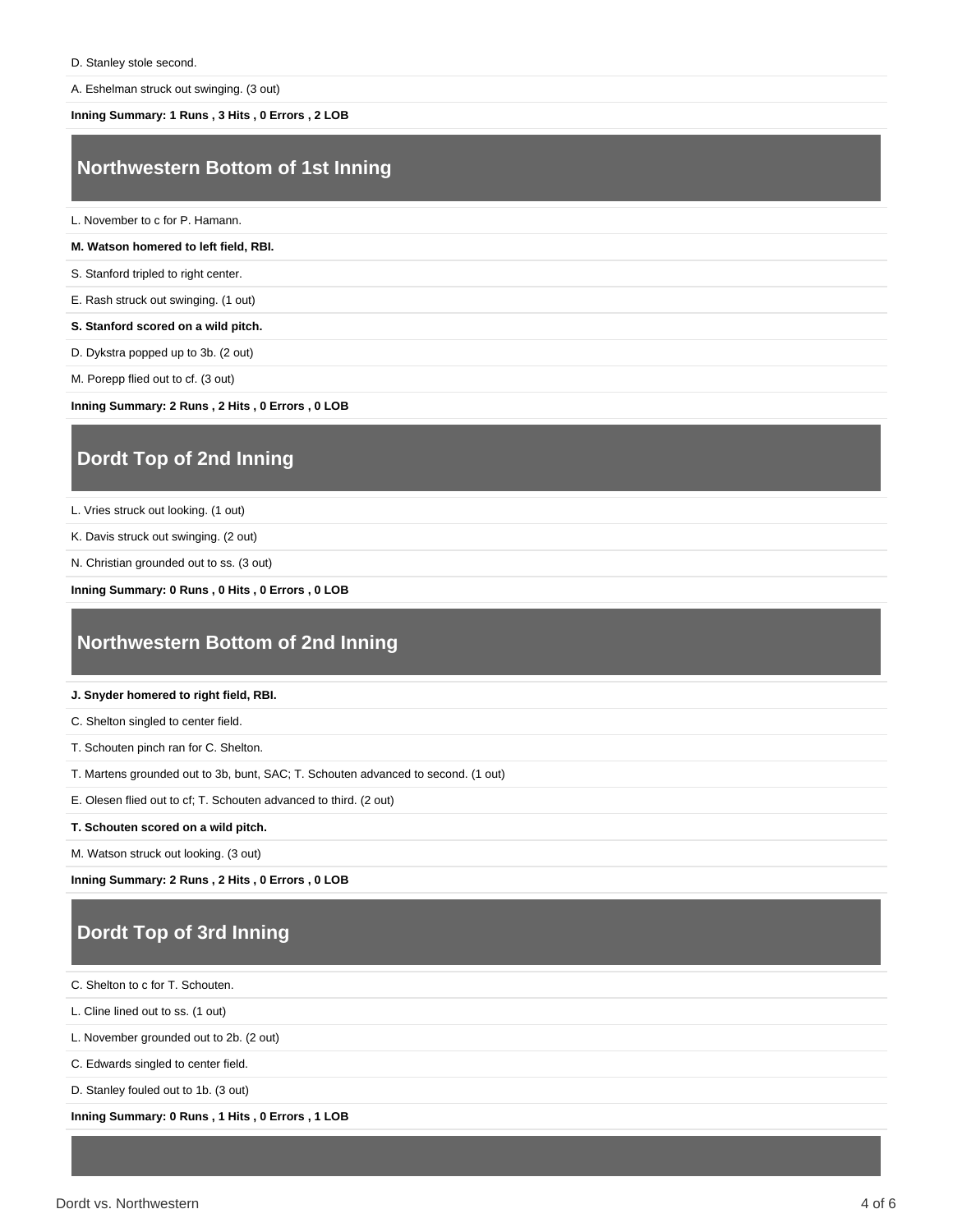A. Eshelman struck out swinging. (3 out)

#### **Inning Summary: 1 Runs , 3 Hits , 0 Errors , 2 LOB**

### **Northwestern Bottom of 1st Inning**

L. November to c for P. Hamann.

#### **M. Watson homered to left field, RBI.**

S. Stanford tripled to right center.

E. Rash struck out swinging. (1 out)

**S. Stanford scored on a wild pitch.**

D. Dykstra popped up to 3b. (2 out)

M. Porepp flied out to cf. (3 out)

**Inning Summary: 2 Runs , 2 Hits , 0 Errors , 0 LOB**

### **Dordt Top of 2nd Inning**

L. Vries struck out looking. (1 out)

K. Davis struck out swinging. (2 out)

N. Christian grounded out to ss. (3 out)

**Inning Summary: 0 Runs , 0 Hits , 0 Errors , 0 LOB**

### **Northwestern Bottom of 2nd Inning**

#### **J. Snyder homered to right field, RBI.**

C. Shelton singled to center field.

T. Schouten pinch ran for C. Shelton.

T. Martens grounded out to 3b, bunt, SAC; T. Schouten advanced to second. (1 out)

E. Olesen flied out to cf; T. Schouten advanced to third. (2 out)

**T. Schouten scored on a wild pitch.**

M. Watson struck out looking. (3 out)

**Inning Summary: 2 Runs , 2 Hits , 0 Errors , 0 LOB**

## **Dordt Top of 3rd Inning**

C. Shelton to c for T. Schouten.

L. Cline lined out to ss. (1 out)

L. November grounded out to 2b. (2 out)

C. Edwards singled to center field.

D. Stanley fouled out to 1b. (3 out)

**Inning Summary: 0 Runs , 1 Hits , 0 Errors , 1 LOB**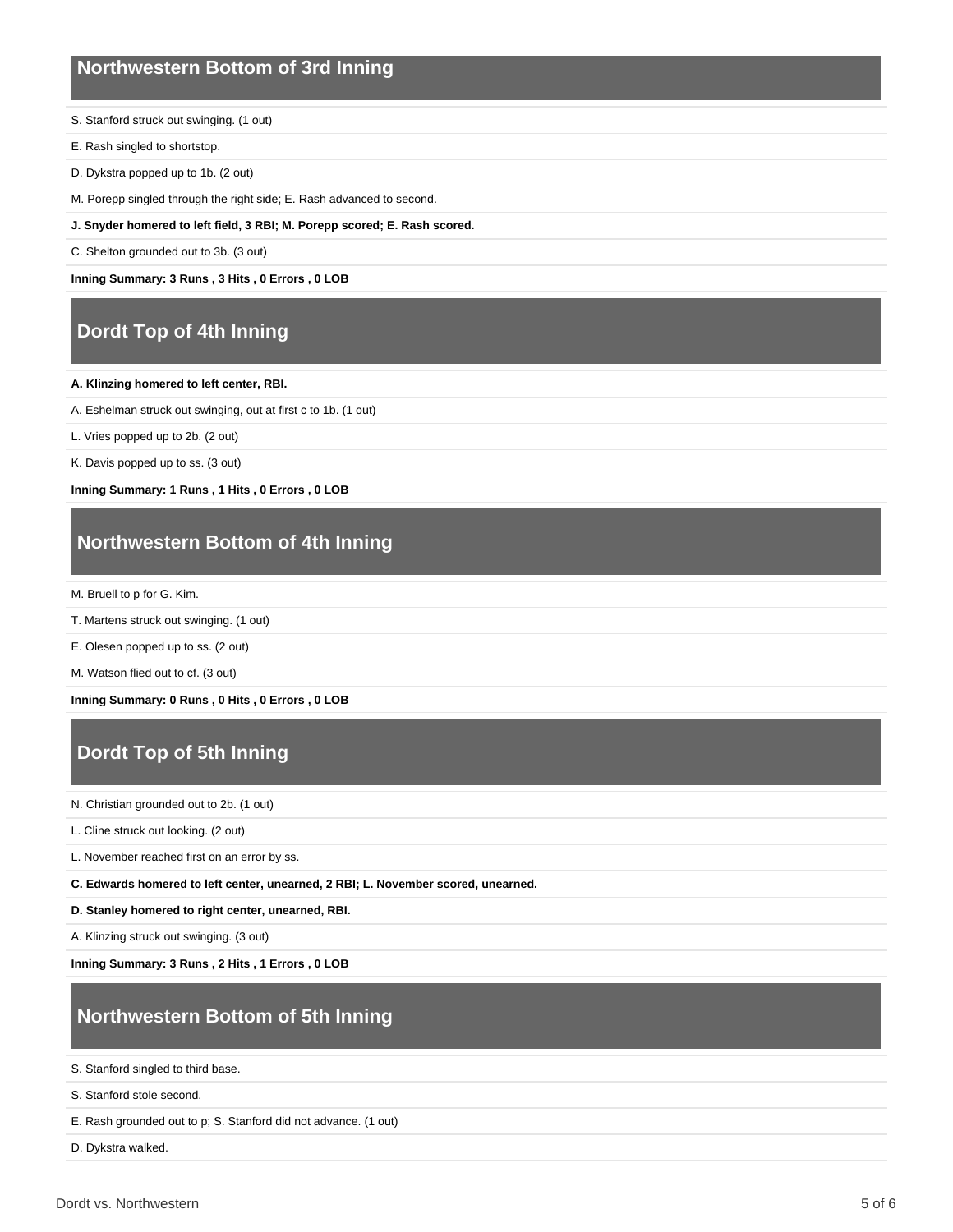### **Northwestern Bottom of 3rd Inning**

- S. Stanford struck out swinging. (1 out)
- E. Rash singled to shortstop.
- D. Dykstra popped up to 1b. (2 out)
- M. Porepp singled through the right side; E. Rash advanced to second.
- **J. Snyder homered to left field, 3 RBI; M. Porepp scored; E. Rash scored.**
- C. Shelton grounded out to 3b. (3 out)

**Inning Summary: 3 Runs , 3 Hits , 0 Errors , 0 LOB**

## **Dordt Top of 4th Inning**

#### **A. Klinzing homered to left center, RBI.**

- A. Eshelman struck out swinging, out at first c to 1b. (1 out)
- L. Vries popped up to 2b. (2 out)
- K. Davis popped up to ss. (3 out)

**Inning Summary: 1 Runs , 1 Hits , 0 Errors , 0 LOB**

### **Northwestern Bottom of 4th Inning**

M. Bruell to p for G. Kim.

- T. Martens struck out swinging. (1 out)
- E. Olesen popped up to ss. (2 out)

M. Watson flied out to cf. (3 out)

**Inning Summary: 0 Runs , 0 Hits , 0 Errors , 0 LOB**

# **Dordt Top of 5th Inning**

N. Christian grounded out to 2b. (1 out)

L. Cline struck out looking. (2 out)

L. November reached first on an error by ss.

**C. Edwards homered to left center, unearned, 2 RBI; L. November scored, unearned.**

**D. Stanley homered to right center, unearned, RBI.**

A. Klinzing struck out swinging. (3 out)

**Inning Summary: 3 Runs , 2 Hits , 1 Errors , 0 LOB**

# **Northwestern Bottom of 5th Inning**

S. Stanford singled to third base.

S. Stanford stole second.

E. Rash grounded out to p; S. Stanford did not advance. (1 out)

D. Dykstra walked.